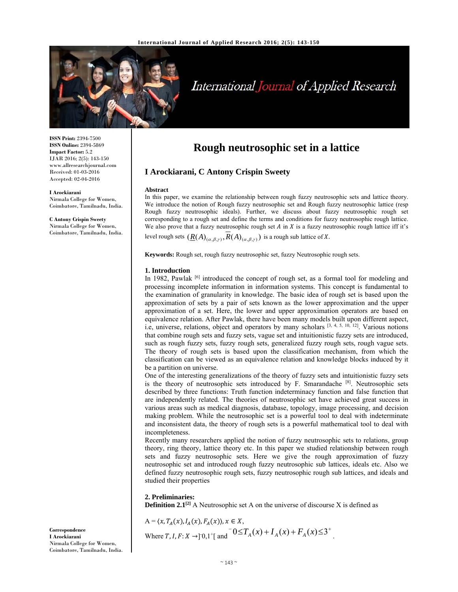

# International Journal of Applied Research

**ISSN Print:** 2394-7500 **ISSN Online:** 2394-5869 **Impact Factor:** 5.2 IJAR 2016; 2(5): 143-150 www.allresearchjournal.com Received: 01-03-2016 Accepted: 02-04-2016

#### **I Arockiarani**

Nirmala College for Women, Coimbatore, Tamilnadu, India.

**C Antony Crispin Sweety**  Nirmala College for Women, Coimbatore, Tamilnadu, India.

# **Rough neutrosophic set in a lattice**

# **I Arockiarani, C Antony Crispin Sweety**

#### **Abstract**

In this paper, we examine the relationship between rough fuzzy neutrosophic sets and lattice theory. We introduce the notion of Rough fuzzy neutrosophic set and Rough fuzzy neutrosophic lattice (resp Rough fuzzy neutrosophic ideals). Further, we discuss about fuzzy neutrosophic rough set corresponding to a rough set and define the terms and conditions for fuzzy neutrosophic rough lattice. We also prove that a fuzzy neutrosophic rough set  $A$  in  $X$  is a fuzzy neutrosophic rough lattice iff it's level rough sets  $(\underline{R}(A)_{(\alpha,\beta,\gamma)}, R(A)_{(\alpha,\beta,\gamma)})$  is a rough sub lattice of X.

**Keywords:** Rough set, rough fuzzy neutrosophic set, fuzzy Neutrosophic rough sets.

#### **1. Introduction**

In 1982, Pawlak [6] introduced the concept of rough set, as a formal tool for modeling and processing incomplete information in information systems. This concept is fundamental to the examination of granularity in knowledge. The basic idea of rough set is based upon the approximation of sets by a pair of sets known as the lower approximation and the upper approximation of a set. Here, the lower and upper approximation operators are based on equivalence relation. After Pawlak, there have been many models built upon different aspect, i.e, universe, relations, object and operators by many scholars [3, 4, 5, 10, 12]. Various notions that combine rough sets and fuzzy sets, vague set and intuitionistic fuzzy sets are introduced, such as rough fuzzy sets, fuzzy rough sets, generalized fuzzy rough sets, rough vague sets. The theory of rough sets is based upon the classification mechanism, from which the classification can be viewed as an equivalence relation and knowledge blocks induced by it be a partition on universe.

One of the interesting generalizations of the theory of fuzzy sets and intuitionistic fuzzy sets is the theory of neutrosophic sets introduced by  $F$ . Smarandache  $[8]$ . Neutrosophic sets described by three functions: Truth function indeterminacy function and false function that are independently related. The theories of neutrosophic set have achieved great success in various areas such as medical diagnosis, database, topology, image processing, and decision making problem. While the neutrosophic set is a powerful tool to deal with indeterminate and inconsistent data, the theory of rough sets is a powerful mathematical tool to deal with incompleteness.

Recently many researchers applied the notion of fuzzy neutrosophic sets to relations, group theory, ring theory, lattice theory etc. In this paper we studied relationship between rough sets and fuzzy neutrosophic sets. Here we give the rough approximation of fuzzy neutrosophic set and introduced rough fuzzy neutrosophic sub lattices, ideals etc. Also we defined fuzzy neutrosophic rough sets, fuzzy neutrosophic rough sub lattices, and ideals and studied their properties

# **2. Preliminaries: Definition 2.1<sup>[2]</sup>** A Neutrosophic set A on the universe of discourse X is defined as

$$
A = \langle x, T_A(x), I_A(x), F_A(x) \rangle, x \in X,
$$
  
where  $T, I, F: X \to ]0,1^{\dagger}[\text{ and } 0 \le T_A(x) + I_A(x) + F_A(x) \le 3^{\dagger}.$ 

**Correspondence I Arockiarani**  Nirmala College for Women, Coimbatore, Tamilnadu, India.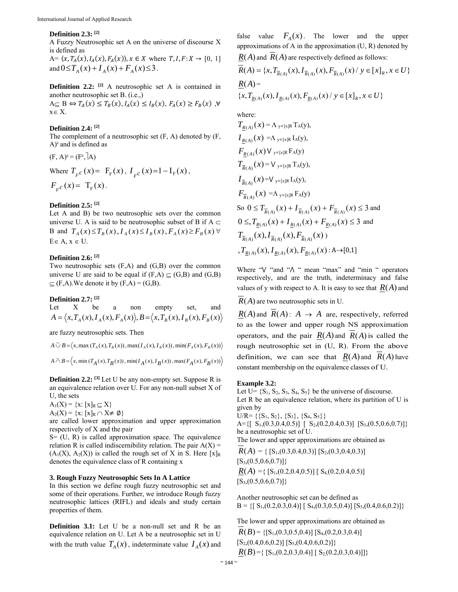#### **Definition 2.3: [2]**

A Fuzzy Neutrosophic set A on the universe of discourse X is defined as

 $A = \langle x, T_A(x), I_A(x), F_A(x) \rangle, x \in X$  where  $T, I, F: X \to [0, 1]$ and  $0 \le T_A(x) + I_A(x) + F_A(x) \le 3$ .

**Definition 2.2:** <sup>[2]</sup> A neutrosophic set A is contained in another neutrosophic set B. (i.e.,)  $A \subseteq B \Leftrightarrow T_A(x) \leq T_B(x), I_A(x) \leq I_B(x), F_A(x) \geq F_B(x)$ ,  $\forall$  $x \in X$ .

#### **Definition 2.4: [2]**

The complement of a neutrosophic set (F, A) denoted by (F,  $A$ <sup>c</sup> and is defined as

(F, A)<sup>c</sup> = (F<sup>c</sup>, A)  
Where 
$$
T_{F}c(x) = F_{F}(x), I_{F}c(x) = 1 - I_{F}(x),
$$
  
 $F_{F}c(x) = T_{F}(x).$ 

# **Definition 2.5: [2]**

Let A and B) be two neutrosophic sets over the common universe U. A is said to be neutrosophic subset of B if A  $\subset$ B and  $T_A(x) \le T_B(x)$ ,  $I_A(x) \le I_B(x)$ ,  $F_A(x) \ge F_B(x)$   $\forall$  $E \in A$ ,  $x \in U$ .

# **Definition 2.6: [2]**

Two neutrosophic sets (F,A) and (G,B) over the common universe U are said to be equal if  $(F,A) \subseteq (G,B)$  and  $(G,B)$  $\subseteq$  (F,A). We denote it by (F,A) = (G,B).

#### **Definition 2.7: [2]**

Let X be a non empty set, and  
\n
$$
A = \langle x, T_A(x), I_A(x), F_A(x) \rangle, B = \langle x, T_B(x), I_B(x), F_B(x) \rangle
$$

are fuzzy neutrosophic sets. Then

$$
A \widetilde{\cup} B = \langle x, \max(T_A(x), T_B(x)), \max(T_A(x), T_B(x)), \min(F_A(x), F_B(x)) \rangle
$$
  

$$
A \widetilde{\cap} B = \langle x, \min(T_A(x), T_B(x)), \min(T_A(x), T_B(x)), \max(F_A(x), F_B(x)) \rangle
$$

**Definition 2.2:** <sup>[3]</sup> Let U be any non-empty set. Suppose R is an equivalence relation over U. For any non-null subset X of U, the sets

$$
A_1(X) = \{x: [x]_R \subseteq X\}
$$

$$
A_2(X) = \{x: [x]_R \cap X \neq \emptyset\}
$$

are called lower approximation and upper approximation respectively of X and the pair

 $S = (U, R)$  is called approximation space. The equivalence relation R is called indiscernibility relation. The pair  $A(X) =$  $(A_1(X), A_2(X))$  is called the rough set of X in S. Here  $[x]_R$ denotes the equivalence class of R containing x

# **3. Rough Fuzzy Neutrosophic Sets In A Lattice**

In this section we define rough fuzzy neutrosophic set and some of their operations. Further, we introduce Rough fuzzy neutrosophic lattices (RIFL) and ideals and study certain properties of them.

**Definition 3.1:** Let U be a non-null set and R be an equivalence relation on U. Let A be a neutrosophic set in U with the truth value  $T_A(x)$ , indeterminate value  $I_A(x)$  and

false value  $F_A(x)$ . The lower and the upper approximations of A in the approximation  $(U, R)$  denoted by  $R(A)$  and  $R(A)$  are respectively defined as follows:  $\overline{R}(A) = \{x, T_{\overline{R}(A)}(x), I_{\overline{R}(A)}(x), F_{\overline{R}(A)}(x) \mid y \in [x]_R, x \in U\}$  $R(A) =$  $\{x, T_{\underline{R}(A)}(x), I_{\underline{R}(A)}(x), F_{\underline{R}(A)}(x) \mid y \in [x]_R, x \in U\}$ 

where:

$$
T_{\underline{R}(A)}(x) = \Lambda_{y \in [x]R} T_A(y),
$$
  
\n
$$
I_{\underline{R}(A)}(x) = \Lambda_{y \in [x]R} I_A(y),
$$
  
\n
$$
F_{\underline{R}(A)}(x) V_{y \in [x]R} T_A(y),
$$
  
\n
$$
T_{\overline{R}(A)}(x) = V_{y \in [x]R} T_A(y),
$$
  
\n
$$
I_{\overline{R}(A)}(x) = V_{y \in [x]R} I_A(y),
$$
  
\n
$$
F_{\overline{R}(A)}(x) = \Lambda_{y \in [x]R} F_A(y)
$$
  
\nSo  $0 \le T_{\overline{R}(A)}(x) + I_{\overline{R}(A)}(x) + F_{\overline{R}(A)}(x) \le 3$  and  
\n
$$
0 \le T_{\underline{R}(A)}(x) + I_{\underline{R}(A)}(x) + F_{\underline{R}(A)}(x) \le 3
$$
  
\nand  
\n
$$
T_{\overline{R}(A)}(x), I_{\overline{R}(A)}(x), F_{\overline{R}(A)}(x)
$$
  
\n
$$
T_{\overline{R}(A)}(x), I_{\overline{R}(A)}(x), F_{\overline{R}(A)}(x) : A \rightarrow [0,1]
$$

Where " $V$  "and " $\Lambda$ " mean "max" and "min " operators respectively, and are the truth, indeterminacy and false values of y with respect to A. It is easy to see that  $R(A)$  and

*R*(*A*) are two neutrosophic sets in U.

 $R(A)$  and  $R(A)$ :  $A \rightarrow A$  are, respectively, referred to as the lower and upper rough NS approximation operators, and the pair  $R(A)$  and  $R(A)$  is called the rough neutrosophic set in (U, R). From the above definition, we can see that  $R(A)$  and  $R(A)$  have constant membership on the equivalence classes of U.

# **Example 3.2:**

Let  $U = \{S_1, S_2, S_3, S_4, S_5\}$  be the universe of discourse. Let R be an equivalence relation, where its partition of U is given by

 $U/R = \{\{S_1, S_2\}, \{S_3\}, \{S_4, S_5\}\}\$ 

A={ $[S_1,(0.3,0.4,0.5)]$   $[S_2,(0.2,0.4,0.3)]$   $[S_3,(0.5,0.6,0.7)]$ } be a neutrosophic set of U.

The lower and upper approximations are obtained as

 $R(A) = \{ [S_1, (0.3, 0.4, 0.3)] [S_2, (0.3, 0.4, 0.3)]$  $[S_3,(0.5,0.6,0.7)]$  $R(A) = \{ [S_1, (0.2, 0.4, 0.5)] [ S_4, (0.2, 0.4, 0.5) ]$  $[S_3,(0.5,0.6,0.7)]$ 

Another neutrosophic set can be defined as  $B = \{ [ S_1, (0.2, 0.3, 0.4) ] [ S_4, (0.3, 0.5, 0.4) ] [ S_5, (0.4, 0.6, 0.2) ] \}$ 

The lower and upper approximations are obtained as  $R(B) = \{ [S_1, (0.3, 0.5, 0.4)] [S_4, (0.2, 0.3, 0.4)] \}$  $[S_2,(0.4,0.6,0.2)] [S_5,(0.4,0.6,0.2)]$  $\underline{R}(B) = \{ [S_1, (0.2, 0.3, 0.4)] [ S_2, (0.2, 0.3, 0.4)]] \}$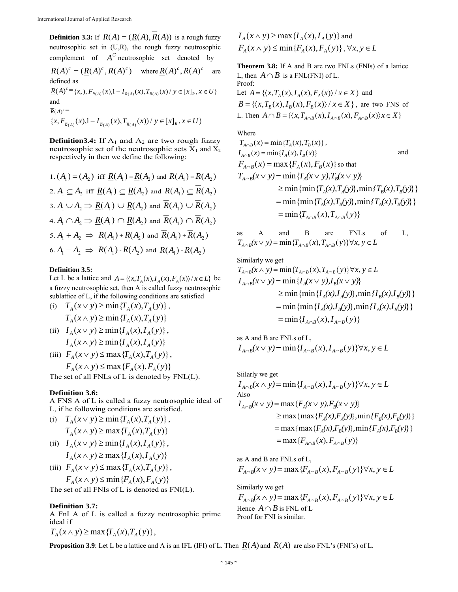**Definition 3.3:** If  $R(A) = (R(A), \overline{R}(A))$  is a rough fuzzy neutrosophic set in (U,R), the rough fuzzy neutrosophic complement of  $A^C$  neutrosophic set denoted by  $R(A)^c = (R(A)^c, \overline{R}(A)^c)$  where  $R(A)^c, \overline{R}(A)^c$  are defined as  $\underline{R}(A)^c = \{x, \, , F_{R(A)}(x), 1 - I_{R(A)}(x), T_{R(A)}(x) / y \in [x]_R, x \in U\}$ and  $\overline{R}(A)^c$  =  $\{x, F_{\overline{R}(A)}(x), -I_{\overline{R}(A)}(x), T_{\overline{R}(A)}(x)) \mid y \in [x]_R, x \in U\}$ 

**Definition3.4:** If  $A_1$  and  $A_2$  are two rough fuzzy neutrosophic set of the neutrosophic sets  $X_1$  and  $X_2$ respectively in then we define the following:

1. 
$$
(A_1) = (A_2)
$$
 iff  $\underline{R}(A_1) = \underline{R}(A_2)$  and  $\overline{R}(A_1) = \overline{R}(A_2)$   
\n2.  $A_1 \subseteq A_2$  iff  $\underline{R}(A_1) \subseteq \underline{R}(A_2)$  and  $\overline{R}(A_1) \subseteq \overline{R}(A_2)$   
\n3.  $A_1 \cup A_2 \Rightarrow \underline{R}(A_1) \cup \underline{R}(A_2)$  and  $\overline{R}(A_1) \cup \overline{R}(A_2)$   
\n4.  $A_1 \cap A_2 \Rightarrow \underline{R}(A_1) \cap \underline{R}(A_2)$  and  $\overline{R}(A_1) \cap \overline{R}(A_2)$   
\n5.  $A_1 + A_2 \Rightarrow \underline{R}(A_1) + \underline{R}(A_2)$  and  $\overline{R}(A_1) + \overline{R}(A_2)$   
\n6.  $A_1 - A_2 \Rightarrow \underline{R}(A_1) - \underline{R}(A_2)$  and  $\overline{R}(A_1) - \overline{R}(A_2)$ 

# **Definition 3.5:**

Let L be a lattice and  $A = \{ \langle x, T_A(x), I_A(x), F_A(x) \rangle / x \in L \}$  be a fuzzy neutrosophic set, then A is called fuzzy neutrosophic sublattice of L, if the following conditions are satisfied (i) *T* (*x y*) min{*T* (*x*),*T* ( *y*)} *<sup>A</sup> <sup>A</sup> <sup>A</sup>* ,

(i) 
$$
T_A(x \vee y) \ge \min\{T_A(x), T_A(y)\}\,
$$
  
 $T_A(x \wedge y) \ge \min\{T_A(x), T_A(y)\}\,$ 

- (ii)  $I_A(x \vee y) \ge \min\{I_A(x), I_A(y)\}\,$  $I_A(x \wedge y) \ge \min\{I_A(x), I_A(y)\}$
- (iii)  $F_A(x \vee y) \le \max \{T_A(x), T_A(y)\},$  $F_{4}(x \wedge y) \leq \max\{F_{4}(x), F_{4}(y)\}$

The set of all FNLs of L is denoted by FNL(L).

# **Definition 3.6:**

A FNS A of L is called a fuzzy neutrosophic ideal of L, if he following conditions are satisfied.

- (i)  $T_A(x \vee y) \ge \min\{T_A(x), T_A(y)\}\,$  $T_A(x \wedge y) \ge \max\{T_A(x), T_A(y)\}$
- (ii)  $I_A(x \vee y) \ge \min\{I_A(x), I_A(y)\},$  $I(x \wedge y) > \max{I(x \wedge I(y))}$

$$
I_A(x \wedge y) \le \max\{I_A(x), I_A(y)\}\
$$

(iii) 
$$
F_A(x \vee y) \le \max \{T_A(x), T_A(y)\},
$$
  
 $F_A(x \wedge y) \le \min \{F_A(x), F_A(y)\}$ 

The set of all FNIs of L is denoted as FNI(L).

# **Definition 3.7:**

A FnI A of L is called a fuzzy neutrosophic prime ideal if

$$
T_A(x \wedge y) \ge \max \{ T_A(x), T_A(y) \},\
$$

$$
I_A(x \wedge y) \ge \max \{ I_A(x), I_A(y) \} \text{ and}
$$
  

$$
F_A(x \wedge y) \le \min \{ F_A(x), F_A(y) \}, \forall x, y \in L
$$

**Theorem 3.8:** If A and B are two FNLs (FNIs) of a lattice L, then  $A \cap B$  is a FNL(FNI) of L. Proof:

Let  $A = \{ \langle x, T_A(x), I_A(x), F_A(x) \rangle / x \in X \}$  and  $B = \{ \langle x, T_{\scriptscriptstyle R}(x), I_{\scriptscriptstyle R}(x), F_{\scriptscriptstyle R}(x) \rangle / x \in X \}$ , are two FNS of L. Then  $A \cap B = \{ \langle x, T_{A \cap B}(x), I_{A \cap B}(x), F_{A \cap B}(x) \rangle \} \cup \{x \in X \}$ 

Where

$$
T_{A \cap B}(x) = \min \{T_A(x), T_B(x)\},
$$
  
\n
$$
I_{A \cap B}(x) = \min \{I_A(x), I_B(x)\}
$$
 and  
\n
$$
F_{A \cap B}(x) = \max \{F_A(x), F_B(x)\} \text{ so that}
$$
  
\n
$$
T_{A \cap B}(x \vee y) = \min \{T_A(x \vee y), T_B(x \vee y)\}
$$
  
\n
$$
\geq \min \{\min \{T_A(x), T_A(y)\}, \min \{T_B(x), T_B(y)\}\}
$$
  
\n
$$
= \min \{\min \{T_A(x), T_B(y)\}, \min \{T_A(x), T_B(y)\}\}
$$
  
\n
$$
= \min \{T_{A \cap B}(x), T_{A \cap B}(y)\}
$$

as A and B are FNLs of L,  $T_{A \cap B}(x \vee y) = \min \{T_{A \cap B}(x), T_{A \cap B}(y)\} \forall x, y \in L$ 

Similarly we get  $T_{A \cap B}(x \wedge y) = \min\{T_{A \cap B}(x), T_{A \cap B}(y)\} \forall x, y \in L$  $=\min\{ I_{A \cap B}(x), I_{A \cap B}(y) \}$  $=$   $\min \{ \min \{ I_A(x), I_B(y) \}, \min \{ I_A(x), I_B(y) \} \}$  $\geq$  min { $\{ \min \{ I_A(x), I_A(y) \}, \min \{ I_B(x), I_B(y) \} \}$  $I_{A \cap B}(x \vee y) = \min \{ I_A(x \vee y), I_B(x \vee y) \}$ 

as A and B are FNLs of L,  $I_{A \cap B}(x \vee y) = \min\{I_{A \cap B}(x), I_{A \cap B}(y)\} \forall x, y \in L$ 

Silikely we get

\n
$$
I_{A \cap B}(x \wedge y) = \min \{ I_{A \cap B}(x), I_{A \cap B}(y) \} \forall x, y \in L
$$
\nAlso

\n
$$
I_{A \cap B}(x \vee y) = \max \{ F_A(x \vee y), F_B(x \vee y) \}
$$
\n
$$
\geq \max \{ \max \{ F_A(x), F_A(y) \}, \min \{ F_B(x), F_B(y) \} \}
$$
\n
$$
= \max \{ \max \{ F_A(x), F_B(y) \}, \min \{ F_A(x), F_B(y) \} \}
$$
\n
$$
= \max \{ F_{A \cap B}(x), F_{A \cap B}(y) \}
$$

as A and B are FNLs of L,  $F_{A \cap B}(x \vee y) = \max \{F_{A \cap B}(x), F_{A \cap B}(y)\} \forall x, y \in L$ 

Similarly we get  $F_{A \cap B}(x \wedge y) = \max \{F_{A \cap B}(x), F_{A \cap B}(y)\} \forall x, y \in L$ Hence  $A \cap B$  is FNL of L Proof for FNI is similar.

**Proposition 3.9**: Let L be a lattice and A is an IFL (IFI) of L. Then  $R(A)$  and  $\overline{R}(A)$  are also FNL's (FNI's) of L.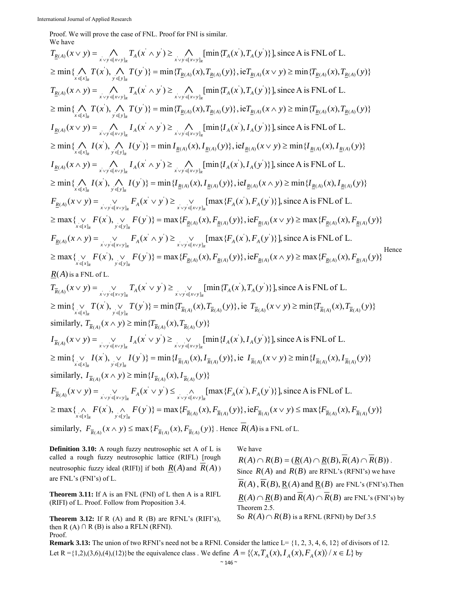Proof. We will prove the case of FNL. Proof for FNI is similar. We have

 $\min\{\bigwedge_{x\in\{x\}_{k}}T(x),\bigwedge_{y\in\{y\}_{k}}T(y)\}=\min\{T_{\underline{R}(A)}(x),T_{\underline{R}(A)}(y)\},\text{ie}T_{\underline{R}(A)}(x\vee y)\geq \min\{T_{\underline{R}(A)}(x),T_{\underline{R}(A)}(y)\}$  $(x \vee y) = \bigwedge T_A(x \wedge y) \ge \bigwedge \{ \min\{ T_A(x'), T_A(y') \} \}$ , since A is FNL of L.  $\geq \min\{\bigwedge_{x\in [x]_R}T(x),\bigwedge_{y\in [y]_R}T(y)\}=\min\{T_{\underline{R}(A)}(x),T_{\underline{R}(A)}(y)\}\, ,\,\n\text{i.e.}\,\overline{T}_{\underline{R}(A)}(x\vee y)\geq \min\{T_{\underline{R}(A)}(x),T_{\underline{R}(A)}(y)\}$  $[x \vee y]$  $T_{\underline{R}(A)}(x \vee y) = \bigwedge_{x \vee y \in [x \vee y]_R} T_A(x \wedge y') \geq \bigwedge_{x \vee y \in [x \vee y]_R} [\min \{T_A(x), T_A(y)\}]$  $y \in y_R$  $\min\{\bigwedge_{x\in\{x\}_{k}}T(x),\bigwedge_{y\in\{y\}_{k}}T(y)\}=\min\{T_{\underline{R}(A)}(x),T_{\underline{R}(A)}(y)\},\text{ie}T_{\underline{R}(A)}(x\wedge y)\geq \min\{T_{\underline{R}(A)}(x),T_{\underline{R}(A)}(y)\}$  $(x \wedge y) = \bigwedge T_A(x \wedge y) \ge \bigwedge \{ \min\{ T_A(x'), T_A(y') \} \}$ , since A is FNL of L.  $\geq \min\{\bigwedge_{x\in [x]_R}T(x),\bigwedge_{y\in [y]_R}T(y)\}=\min\{T_{\underline{R}(A)}(x),T_{\underline{R}(A)}(y)\}\, ,\,\n\text{i.e.}\,\overline{T}_{\underline{R}(A)}(x\wedge y)\geq \min\{T_{\underline{R}(A)}(x),T_{\underline{R}(A)}(y)\}$  $[x \vee y]$  $T_{\underline{R}(A)}(x \wedge y) = \bigwedge_{x \vee y \in [x \vee y]_R} T_A(x \wedge y') \geq \bigwedge_{x \vee y \in [x \vee y]_R} [\min \{T_A(x), T_A(y)\}]$  $\min\{\bigwedge_{x\in\{x\}_R} I(x),\bigwedge_{y\in\{y\}_R} I(y)\} = \min I_{\underline{R}(A)}(x), I_{\underline{R}(A)}(y)\}, \text{id}_{\underline{R}(A)}(x\vee y) \geq \min\{I_{\underline{R}(A)}(x), I_{\underline{R}(A)}(y)\}$  $(x \vee y) = \bigwedge I_A(x \wedge y) \geq \bigwedge \left[ \min\{I_A(x), I_A(y)\} \right],$  since A is FNL of L.  $\geq \min\{\bigwedge_{x\in [x]_R} I(x), \bigwedge_{y\in [y]_R} I(y)\} = \min I_{\underline{R}(A)}(x), I_{\underline{R}(A)}(y)\}, \text{id}_{\underline{R}(A)}(x \vee y) \geq \min\{I_{\underline{R}(A)}(x), I_{\underline{R}(A)}(y)\}$  $[x \vee y]$  $I_{\underline{R}(A)}(x \vee y) = \bigwedge_{x \vee y \in [x \vee y]_R} I_A(x \wedge y') \geq \bigwedge_{x \vee y \in [x \vee y]_R} [\min \{I_A(x), I_A(y)\}]$  $\min\{\bigwedge_{x\in [x]_R} I(x),\bigwedge_{y\in [y]_R} I(y)\} = \min\{I_{\underline{R}(A)}(x),I_{\underline{R}(A)}(y)\},\text{ie}I_{\underline{R}(A)}(x\wedge y) \geq \min\{I_{\underline{R}(A)}(x),I_{\underline{R}(A)}(y)\}$  $(x \wedge y) = \bigwedge I_A(x \wedge y) \geq \bigwedge \left[ \min\{I_A(x), I_A(y)\} \right],$  since A is FNL of L.  $\geq \min\{\bigwedge_{x\in [x]_R} I(x),\bigwedge_{y\in [y]_R} I(y)\} = \min\{I_{\underline{R}(A)}(x),I_{\underline{R}(A)}(y)\}\$ , ie $I_{\underline{R}(A)}(x\wedge y) \geq \min\{I_{\underline{R}(A)}(x),I_{\underline{R}(A)}(y)\}$  $[x \vee y]$  $I_{\underline{R}(A)}(x \wedge y) = \bigwedge_{x \vee y \in [x \vee y]_R} I_A(x \wedge y') \geq \bigwedge_{x \vee y \in [x \vee y]_R} [\min \{I_A(x), I_A(y)\}]$  $\max\{\bigvee_{x\in x|_{\mathcal{R}}}F(x),\bigvee_{y\in y|_{\mathcal{R}}}F(y)\}=\max\{F_{\underline{R}(A)}(x),F_{\underline{R}(A)}(y)\}\,;\mathrm{ie}F_{\underline{R}(A)}(x\vee y)\geq\max\{F_{\underline{R}(A)}(x),F_{\underline{R}(A)}(y)\}$  $(x \vee y) = \vee F_A(x \vee y) \ge \vee \text{ } \text{ } [max\{F_A(x'), F_A(y')\}\text{, since A is FNL of L.}$  $\geq \max\{\bigvee_{x\in\{x\}_{R}} F(x'), \bigvee_{y\in\{y\}_{R}} F(y')\} = \max\{F_{\underline{R}(A)}(x), F_{\underline{R}(A)}(y)\}\, , i\in F_{\underline{R}(A)}(x\vee y) \geq \max\{F_{\underline{R}(A)}(x), F_{\underline{R}(A)}(y)\}$  $[x \vee y]$  $F_{R(A)}(x \vee y) = \bigvee_{x \vee y \in [x \vee y]_R} F_A(x \vee y) \ge \bigvee_{x \vee y \in [x \vee y]_R} [\max \{F_A(x), F_A(y)\}]$  $\max\{\bigvee_{x\in x|_{\mathcal{R}}}F(x),\bigvee_{y\in y|_{\mathcal{R}}}F(y)\}=\max\{F_{\underline{R}(A)}(x),F_{\underline{R}(A)}(y)\}\,;\mathrm{ie}F_{\underline{R}(A)}(x\wedge y)\geq\max\{F_{\underline{R}(A)}(x),F_{\underline{R}(A)}(y)\}$  $(x \wedge y) = \vee$   $F_A(x' \wedge y') \ge \vee$   $\left[\max\{F_A(x'), F_A(y')\}\right]$ , since A is FNL of L.  $\geq \max\{\bigvee_{x\in\{x\}_{R}} F(x'), \bigvee_{y\in\{y\}_{R}} F(y')\} = \max\{F_{\underline{R}(A)}(x), F_{\underline{R}(A)}(y)\}\, , i\in F_{\underline{R}(A)}(x\wedge y) \geq \max\{F_{\underline{R}(A)}(x), F_{\underline{R}(A)}(y)\}$  $[x \vee y]$  $F_{R(A)}(x \wedge y) = \bigvee_{x \vee y \in [x \vee y]_R} F_A(x \wedge y) \ge \bigvee_{x \vee y \in [x \vee y]_R} [\max \{F_A(x), F_A(y)\}]$ Hence  $R(A)$  is a FNL of L.  $\min\{\bigvee_{x\in\mathcal{X}} T(x), \bigvee_{y\in\mathcal{X}} T(y)\} = \min\{T_{\overline{R}(A)}(x), T_{\overline{R}(A)}(y)\},\$ ie  $T_{\overline{R}(A)}(x\vee y) \geq \min\{T_{\overline{R}(A)}(x), T_{\overline{R}(A)}(y)\}$  $(x \vee y) = \vee T_A(x \vee y) \ge \vee \lim_{A \to B} \{T_A(x), T_A(y)\}\}\)$ , since A is FNL of L.  $\bigvee \limits_{ \{y\}_R} T(y)$  $\geq \min\{\bigvee_{x\in\{x\}_{R}}T(x),\bigvee_{y\in\{y\}_{R}}T(y)\}=\min\{T_{\overline{R}(A)}(x),T_{\overline{R}(A)}(y)\}\text{, ie }T_{\overline{R}(A)}(x\vee y)\geq \min\{T_{\overline{R}(A)}(x),T_{\overline{R}(A)}(y)\}$  $[x \vee y]$ ' ' '  $T_{\overline{R}(A)}(x \vee y) = \bigvee_{x \vee y \in [xy]_R} T_A(x' \vee y') \ge \bigvee_{x \vee y \in [xy]_R} [\min \{T_A(x'), T_A(y)\}]$ similarly,  $T_{\overline{R}(A)}(x \wedge y) \ge \min\{T_{\overline{R}(A)}(x), T_{\overline{R}(A)}(y)\}$  $\min\{\bigvee_{x \in [x]} I(x), \bigvee_{y \in [y]} I(y)\} = \min\{I_{\overline{R}(A)}(x), I_{\overline{R}(A)}(y)\},\$ ie  $I_{\overline{R}(A)}(x \vee y) \ge \min\{I_{\overline{R}(A)}(x), I_{\overline{R}(A)}(y)\}$  $(x \vee y) = \vee I_A(x \vee y) \ge \vee \lim_{A \setminus \{x' \to y\}} I_A(y), I_A(y')\}$ , since A is FNL of L.  $\bigcup_{\{y\}_k} I(y)$  $\geq \min\{\bigvee_{x\in [x]_R} I(x'), \bigvee_{y\in [y]_R} I(y')\} = \min\{I_{\overline{R}(A)}(x), I_{\overline{R}(A)}(y)\}\$ , ie  $I_{\overline{R}(A)}(x\vee y) \geq \min\{I_{\overline{R}(A)}(x), I_{\overline{R}(A)}(y)\}$  $[x \vee y]$ ' ' '  $I_{\overline{R}(A)}(x \vee y) = \bigvee_{x \vee y \in [x \vee y]_R} I_A(x \vee y') \ge \bigvee_{x \vee y \in [x \vee y]_R} [\min \{I_A(x), I_A(y)\}]$ similarly,  $I_{\overline{R}(A)}(x \wedge y) \ge \min\{I_{\overline{R}(A)}(x), I_{\overline{R}(A)}(y)\}$  $\max\{\bigwedge_{x\in\mathcal{X}}F(x),\bigwedge_{y\in\mathcal{X}}F(y)\}=\max\{F_{\overline{R}(A)}(x),F_{\overline{R}(A)}(y)\}\,;\textrm{ie}F_{\overline{R}(A)}(x\vee y)\leq \max\{F_{\overline{R}(A)}(x),F_{\overline{R}(A)}(y)\}$  $(x \vee y) = \vee F_A(x \vee y) \leq \wedge \quad [\max\{F_A(x), F_A(y)\}\],$  since A is FNL of L.  $\underset{\left\{ \boldsymbol{\mathrm{y}}\right\} _{k}}{\wedge}F(\boldsymbol{\mathrm{y}})$  $\geq \max\{\bigwedge_{x\in\{x\}_{R}} F(x'), \bigwedge_{y\in\{y\}_{R}} F(y')\} = \max\{F_{\overline{R}(A)}(x), F_{\overline{R}(A)}(y)\}\, , i\in F_{\overline{R}(A)}(x\vee y) \leq \max\{F_{\overline{R}(A)}(x), F_{\overline{R}(A)}(y)\}$  $[x \vee y]$ ' '  $F_{\overline{R}(A)}(x \vee y) = \bigvee_{x \vee y \in [x \vee y]_R} F_A(x \vee y) \leq \bigwedge_{x \vee y \in [x \vee y]_R} [\max \{F_A(x), F_A(y)\}]$ similarly,  $F_{\overline{R}(A)}(x \wedge y) \le \max\{F_{\overline{R}(A)}(x), F_{\overline{R}(A)}(y)\}\.$  Hence  $\overline{R}(A)$  is a FNL of L.

**Definition 3.10:** A rough fuzzy neutrosophic set A of L is called a rough fuzzy neutrosophic lattice (RIFL) [rough neutrosophic fuzzy ideal (RIFI)] if both  $R(A)$  and  $R(A)$ ) are FNL's (FNI's) of L.

**Theorem 3.11:** If A is an FNL (FNI) of L then A is a RIFL (RIFI) of L. Proof. Follow from Proposition 3.4.

**Theorem 3.12:** If R (A) and R (B) are RFNL's (RIFI's), then R  $(A) \cap R$  (B) is also a RFLN (RFNI). Proof.

We have  $R(A) \cap R(B) = (R(A) \cap R(B), R(A) \cap R(B))$ . Since  $R(A)$  and  $R(B)$  are RFNL's (RFNI's) we have  $R(A)$ ,  $R(B)$ ,  $R(A)$  and  $R(B)$  are FNL's (FNI's). Then  $R(A) \cap R(B)$  and  $\overline{R}(A) \cap \overline{R}(B)$  are FNL's (FNI's) by Theorem 2.5. So  $R(A) \cap R(B)$  is a RFNL (RFNI) by Def 3.5

**Remark 3.13:** The union of two RFNI's need not be a RFNI. Consider the lattice  $L = \{1, 2, 3, 4, 6, 12\}$  of divisors of 12. Let R ={1,2),(3,6),(4),(12)} be the equivalence class . We define  $A = \{ \langle x, T_A(x), I_A(x), F_A(x) \rangle / x \in L \}$  by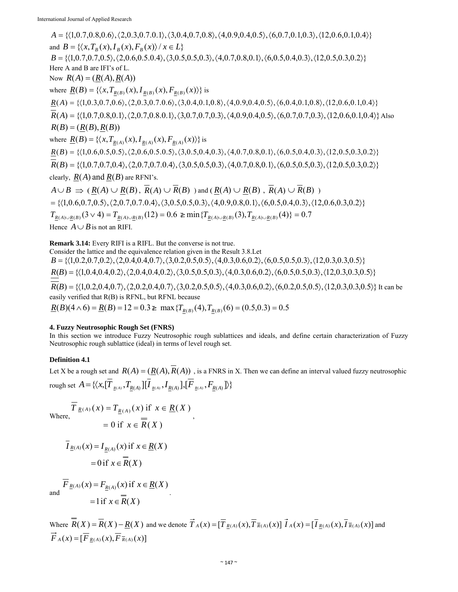$A = \{(1,0.7,0.8,0.6), (2,0.3,0.7.0.1), (3,0.4,0.7,0.8), (4,0.9,0.4,0.5), (6,0.7,0.1,0.3), (12,0.6,0.1,0.4)\}$ and  $B = \{ \langle x, T_{R}(x), I_{R}(x), F_{R}(x) \rangle / x \in L \}$  $B = \{ (1,0.7,0.7,0.5), (2,0.6,0.5.0.4), (3,0.5,0.5,0.3), (4,0.7,0.8,0.1), (6,0.5,0.4,0.3), (12,0.5,0.3,0.2) \}$ Here A and B are IFI's of L. Now  $R(A) = (R(A), R(A))$ where  $\underline{R}(B) = \{ \langle x, T_{\underline{R}(B)}(x), I_{\underline{R}(B)}(x), F_{R(B)}(x) \rangle \}$  is  $\underline{R}(A) = \{ \langle 1, 0.3, 0.7, 0.6 \rangle, \langle 2, 0.3, 0.7, 0.6 \rangle, \langle 3, 0.4, 0.1, 0.8 \rangle, \langle 4, 0.9, 0.4, 0.5 \rangle, \langle 6, 0.4, 0.1, 0.8 \rangle, \langle 12, 0.6, 0.1, 0.4 \rangle \}$  $R(A) = \{(1,0.7,0.8,0.1), (2,0.7,0.8,0.1), (3,0.7,0.7,0.3), (4,0.9,0.4,0.5), (6,0.7,0.7,0.3), (12,0.6,0.1,0.4)\}$  Also  $R(B) = (R(B), R(B))$ where  $\underline{R}(B) = \{ (x, T_{R(A)}(x), I_{R(A)}(x), F_{R(A)}(x)) \}$  is  $\underline{R}(B) = \{ \langle 1, 0.6, 0.5, 0.5 \rangle, \langle 2, 0.6, 0.5, 0.5 \rangle, \langle 3, 0.5, 0.4, 0.3 \rangle, \langle 4, 0.7, 0.8, 0.1 \rangle, \langle 6, 0.5, 0.4, 0.3 \rangle, \langle 12, 0.5, 0.3, 0.2 \rangle \}$  $R(B) = \{ (1,0.7,0.7,0.4), (2,0.7,0.7,0.4), (3,0.5,0.5,0.3), (4,0.7,0.8,0.1), (6,0.5,0.5,0.3), (12,0.5,0.3,0.2) \}$ clearly,  $R(A)$  and  $R(B)$  are RFNI's.  $A \cup B \implies (R(A) \cup R(B), \overline{R}(A) \cup \overline{R}(B))$  and  $(R(A) \cup R(B), \overline{R}(A) \cup \overline{R}(B))$ 

 $=\{(1,0.6,0.7,0.5), (2,0.7,0.7,0.4), (3,0.5,0.5,0.3), (4,0.9,0.8,0.1), (6,0.5,0.4,0.3), (12,0.6,0.3,0.2)\}\$  $T_{R(A)\cup R(B)}(3 \vee 4) = T_{R(A)\cup R(B)}(12) = 0.6 \ge \min\{T_{R(A)\cup R(B)}(3), T_{R(A)\cup R(B)}(4)\} = 0.7$ Hence  $A \cup B$  is not an RIFI.

**Remark 3.14:** Every RIFI is a RIFL. But the converse is not true.

Consider the lattice and the equivalence relation given in the Result 3.8.Let  $B = \{(1,0.2,0.7,0.2), (2,0.4,0.4,0.7), (3,0.2,0.5,0.5), (4,0.3,0.6,0.2), (6,0.5,0.5,0.3), (12,0.3,0.3,0.5)\}\$  $R(B) = \{(1,0.4,0.4,0.2), (2,0.4,0.4,0.2), (3,0.5,0.5,0.3), (4,0.3,0.6,0.2), (6,0.5,0.5,0.3), (12,0.3,0.3,0.5)\}\$  $R(B) = \{ (1,0.2,0.4,0.7), (2,0.2,0.4,0.7), (3,0.2,0.5,0.5), (4,0.3,0.6,0.2), (6,0.2,0.5,0.5), (12,0.3,0.3,0.5) \}$  It can be easily verified that R(B) is RFNL, but RFNL because  $\underline{R}(B)(4 \wedge 6) = \underline{R}(B) = 12 = 0.3 \ge \max\{T_{R(B)}(4), T_{R(B)}(6) = (0.5, 0.3) = 0.5\}$ 

# **4. Fuzzy Neutrosophic Rough Set (FNRS)**

In this section we introduce Fuzzy Neutrosophic rough sublattices and ideals, and define certain characterization of Fuzzy Neutrosophic rough sublattice (ideal) in terms of level rough set.

# **Definition 4.1**

Let X be a rough set and  $R(A) = (R(A), \overline{R}(A))$ , is a FNRS in X. Then we can define an interval valued fuzzy neutrosophic rough set  $A = \{ (x, [T_{R(A)}, T_{R(A)}][I_{R(A)}, I_{R(A)}], [F_{R(A)}, F_{R(A)}]) \}$ 

$$
\overline{T}_{\underline{R}(A)}(x) = T_{\underline{R}(A)}(x) \text{ if } x \in \underline{R}(X) \n= 0 \text{ if } x \in \overline{R}(X) ,
$$

$$
\overline{I}_{\underline{R}(A)}(x) = I_{\underline{R}(A)}(x) \text{ if } x \in \underline{R}(X)
$$

$$
= 0 \text{ if } x \in \overline{R}(X)
$$

$$
\overline{F}_{\underline{R}(A)}(x) = F_{\underline{R}(A)}(x) \text{ if } x \in \underline{R}(X)
$$
  
=1 if  $x \in \overline{R}(X)$ .

Where  $\overline{R}(X) = \overline{R}(X) - R(X)$  and we denote  $\overrightarrow{T}_A(x) = [\overline{T}_{R(A)}(x), \overline{T}_{R(A)}(x)] \overrightarrow{I}_A(x) = [\overline{I}_{R(A)}(x), \overline{I}_{R(A)}(x)]$  and  $\overrightarrow{F}_A(x) = [\overrightarrow{F}_{R(A)}(x), \overrightarrow{F}_{R(A)}(x)]$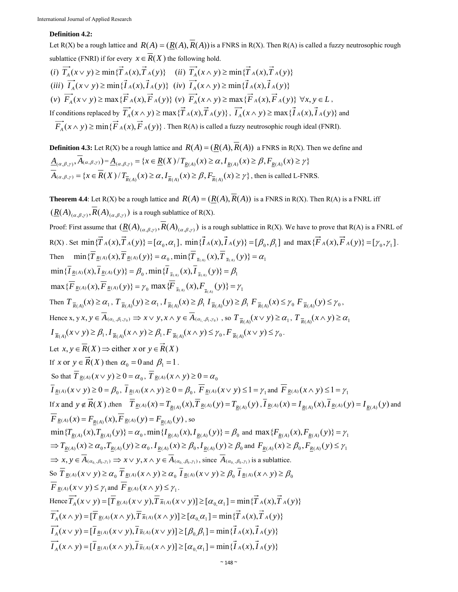# **Definition 4.2:**

Let R(X) be a rough lattice and  $R(A) = (R(A), \overline{R}(A))$  is a FNRS in R(X). Then R(A) is called a fuzzy neutrosophic rough sublattice (FNRI) if for every  $x \in \overline{R}(X)$  the following hold.

(i)  $\overrightarrow{T}_A(x \vee y) \ge \min{\{\overrightarrow{T}_A(x), \overrightarrow{T}_A(y)\}}$  (ii)  $\overrightarrow{T}_A(x \wedge y) \ge \min{\{\overrightarrow{T}_A(x), \overrightarrow{T}_A(y)\}}$ (iii)  $\overrightarrow{I}_4(x \vee y) \ge \min{\{\overrightarrow{I}_A(x),\overrightarrow{I}_A(y)\}}$  (iv)  $\overrightarrow{I}_4(x \wedge y) \ge \min{\{\overrightarrow{I}_A(x),\overrightarrow{I}_A(y)\}}$ (v)  $\overrightarrow{F}_A(x \vee y) \ge \max{\{\overrightarrow{F}_A(x), \overrightarrow{F}_A(y)\}\}\ (v)} \overrightarrow{F}_A(x \wedge y) \ge \max{\{\overrightarrow{F}_A(x), \overrightarrow{F}_A(y)\}\}\ \forall x, y \in L$ If conditions replaced by  $\overrightarrow{T_A}(x \wedge y) \ge \max{\{\overrightarrow{T_A}(x),\overrightarrow{T_A}(y)\}}$ ,  $\overrightarrow{I_A}(x \wedge y) \ge \max{\{\overrightarrow{I_A}(x),\overrightarrow{I_A}(y)\}}$  and  $\overrightarrow{F}_A(x \wedge y) \ge \min{\{\overrightarrow{F}_A(x), \overrightarrow{F}_A(y)\}}$ . Then R(A) is called a fuzzy neutrosophic rough ideal (FNRI).

**Definition 4.3:** Let R(X) be a rough lattice and  $R(A) = (R(A), \overline{R}(A))$  a FNRS in R(X). Then we define and  $\underline{A}_{(\alpha,\beta,\gamma)},\overline{A}_{(\alpha,\beta,\gamma)} = \underline{A}_{(\alpha,\beta,\gamma)} = \{x \in \underline{R}(X)/T_{R(A)}(x) \geq \alpha, I_{R(A)}(x) \geq \beta, F_{R(A)}(x) \geq \gamma\}$  ${\overline{A}}_{(\alpha,\beta,\gamma)} = {x \in {\overline{R}}(X) / T_{{\overline{R}}(A)}(x) \ge \alpha, I_{{\overline{R}}(A)}(x) \ge \beta, F_{{\overline{R}}(A)}(x) \ge \gamma},$  then is called L-FNRS.

**Theorem 4.4**: Let R(X) be a rough lattice and  $R(A) = (R(A), \overline{R}(A))$  is a FNRS in R(X). Then R(A) is a FNRL iff  $(R(A)_{(\alpha,\beta,\gamma)}, R(A)_{(\alpha,\beta,\gamma)})$  is a rough sublattice of R(X).

Proof: First assume that  $(R(A)_{(a, b, v)}, R(A)_{(a, b, v)})$  is a rough sublattice in R(X). We have to prove that R(A) is a FNRL of R(X). Set min $\{\vec{T}_A(x), \vec{T}_A(y)\} = [\alpha_0, \alpha_1]$ , min $\{\vec{I}_A(x), \vec{I}_A(y)\} = [\beta_0, \beta_1]$  and max $\{\vec{F}_A(x), \vec{F}_A(y)\} = [\gamma_0, \gamma_1]$ . Then  $\min{\{\overline{T}_{\underline{R}(A)}(x), \overline{T}_{\underline{R}(A)}(y)\}} = \alpha_0, \min{\{\overline{T}_{\overline{R}(A)}(x), \overline{T}_{\overline{R}(A)}(y)\}} = \alpha_1$  $\min{\{\overline{I}_{R(A)}(x), \overline{I}_{R(A)}(y)\}} = \beta_0$ ,  $\min{\{\overline{I}_{\overline{R(A)}(x), \overline{I}_{\overline{R(A)}}(y)\}} = \beta_1$  $\max{\{\overline{F}_{\frac{R(A)}{F(A)}(x), \overline{F}_{\frac{R(A)}{F(A)}(y)\}} = \gamma_0 \max{\{\overline{F}_{\frac{R(A)}{F(A)}(x), F_{\frac{R(A)}{F(A)}(y)\}} = \gamma_1\}}$ Then  $T_{\overline{R}(A)}(x) \ge \alpha_1$ ,  $T_{\overline{R}(A)}(y) \ge \alpha_1$ ,  $I_{\overline{R}(A)}(x) \ge \beta_1 I_{\overline{R}(A)}(y) \ge \beta_1 F_{\overline{R}(A)}(x) \le \gamma_0 F_{\overline{R}(A)}(y) \le \gamma_0$ , Hence x,  $y \times y \in \overline{A}_{(\alpha_1,\beta_1,\gamma_0)} \Rightarrow x \vee y, x \wedge y \in \overline{A}_{(\alpha_1,\beta_1,\gamma_0)}$ , so  $T_{\overline{R}(A)}(x \vee y) \ge \alpha_1$ ,  $T_{\overline{R}(A)}(x \wedge y) \ge \alpha_1$  $I_{\overline{R}(A)}(x \vee y) \geq \beta_1, I_{\overline{R}(A)}(x \wedge y) \geq \beta_1, F_{\overline{R}(A)}(x \wedge y) \leq \gamma_0, F_{\overline{R}(A)}(x \vee y) \leq \gamma_0.$ Let  $x, y \in \overline{R}(X) \Rightarrow$  either  $x$  or  $y \in \overrightarrow{R}(X)$ If *x* or  $y \in \mathbb{R}(X)$  then  $\alpha_0 = 0$  and  $\beta_1 = 1$ . So that  $\overline{T}_{R(A)}$   $(x \vee y) \ge 0 = \alpha_0$ ,  $\overline{T}_{R(A)}$   $(x \wedge y) \ge 0 = \alpha_0$  $\overline{I}_{R(A)}(x \vee y) \ge 0 = \beta_0$ ,  $\overline{I}_{R(A)}(x \wedge y) \ge 0 = \beta_0$ ,  $\overline{F}_{R(A)}(x \vee y) \le 1 = \gamma_1$  and  $\overline{F}_{R(A)}(x \wedge y) \le 1 = \gamma_1$ If x and  $y \notin \vec{R}(X)$ , then  $\overline{T}_{R(A)}(x) = T_{R(A)}(x), \overline{T}_{R(A)}(y) = T_{R(A)}(y), \overline{T}_{R(A)}(x) = I_{R(A)}(x), \overline{T}_{R(A)}(y) = I_{R(A)}(y)$  and  $\overline{F}_{R(A)}(x) = F_{R(A)}(x), \overline{F}_{R(A)}(y) = F_{R(A)}(y)$ , so  $\min\{T_{R(A)}(x), T_{R(A)}(y)\} = \alpha_0, \min\{I_{R(A)}(x), I_{R(A)}(y)\} = \beta_0$  and  $\max\{F_{R(A)}(x), F_{R(A)}(y)\} = \gamma_1$  $\Rightarrow T_{R(A)}(x) \ge \alpha_0, T_{R(A)}(y) \ge \alpha_0, I_{R(A)}(x) \ge \beta_0, I_{R(A)}(y) \ge \beta_0$  and  $F_{R(A)}(x) \ge \beta_0, F_{R(A)}(y) \le \gamma_1$  $\Rightarrow x, y \in \overline{A}_{(\alpha_0, \beta_0, \gamma_1)} \Rightarrow x \vee y, x \wedge y \in \overline{A}_{(\alpha_0, \beta_0, \gamma_1)}$ , since  $\overline{A}_{(\alpha_0, \beta_0, \gamma_1)}$  is a sublattice.  $S \circ \overline{T}_{R(A)} (x \vee y) \ge \alpha_0 \overline{T}_{R(A)} (x \wedge y) \ge \alpha_0 \overline{I}_{R(A)} (x \vee y) \ge \beta_0 \overline{I}_{R(A)} (x \wedge y) \ge \beta_0$  $\overline{F}_{R(A)}(x \vee y) \leq \gamma$  and  $\overline{F}_{R(A)}(x \wedge y) \leq \gamma$ . Hence  $\overrightarrow{T_A}(x \vee y) = [\overline{T}_{R(A)}(x \vee y), \overline{T}_{R(A)}(x \vee y)] \geq [\alpha_0 \alpha_1] = \min{\{\overrightarrow{T}_A(x), \overrightarrow{T}_A(y)\}}$  $\overrightarrow{T_A}(x \wedge y) = [\overline{T}_{R(A)}(x \wedge y), \overline{T}_{R(A)}(x \wedge y)] \geq [\alpha_0 \alpha_1] = \min{\{\overline{T}_A(x), \overline{T}_A(y)\}}$  $\vec{I}_A(x \vee y) = [\vec{I}_{R(A)}(x \vee y), \vec{I}_{R(A)}(x \vee y)] \geq [\beta_0, \beta_1] = \min{\{\vec{I}_A(x), \vec{I}_A(y)\}}$  $\vec{I}_A(x \wedge y) = [\vec{I}_{R(A)}(x \wedge y), \vec{I}_{R(A)}(x \wedge y)] \geq [\alpha_0 \alpha_1] = \min{\{\vec{I}_A(x), \vec{I}_A(y)\}}$